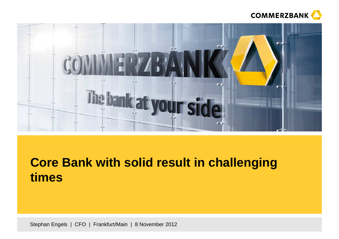



# **Core Bank with solid result in challenging times**

Stephan Engels | CFO | Frankfurt/Main | 8 November 2012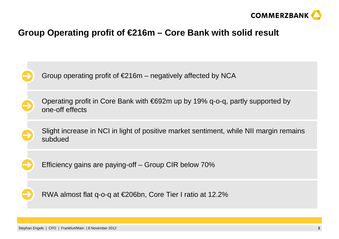

### **Group Operating profit of €216m – Core Bank with solid result**

Group operating profit of  $E216m$  – negatively affected by NCA Efficiency gains are paying-off – Group CIR below 70%RWA almost flat q-o-q at €206bn, Core Tier I ratio at 12.2%Operating profit in Core Bank with €692m up by 19% q-o-q, partly supported by one-off effects Slight increase in NCI in light of positive market sentiment, while NII margin remains subdued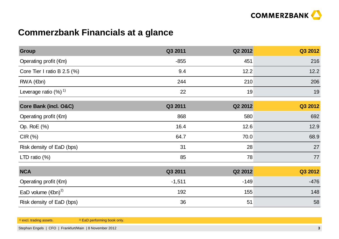

# **Commerzbank Financials at a glance**

| <b>Group</b>                             | Q3 2011  | Q2 2012 | Q3 2012 |
|------------------------------------------|----------|---------|---------|
| Operating profit $(\epsilon m)$          | $-855$   | 451     | 216     |
| Core Tier I ratio B 2.5 $(\%)$           | 9.4      | 12.2    | 12.2    |
| $RWA$ ( $\in$ bn)                        | 244      | 210     | 206     |
| Leverage ratio $(%)$ <sup>1)</sup>       | 22       | 19      | 19      |
| Core Bank (incl. O&C)                    | Q3 2011  | Q2 2012 | Q3 2012 |
| Operating profit $(\epsilon m)$          | 868      | 580     | 692     |
| Op. RoE (%)                              | 16.4     | 12.6    | 12.9    |
| CIR(%)                                   | 64.7     | 70.0    | 68.9    |
| Risk density of EaD (bps)                | 31       | 28      | 27      |
| LTD ratio $(\%)$                         | 85       | 78      | 77      |
| <b>NCA</b>                               | Q3 2011  | Q2 2012 | Q3 2012 |
| Operating profit $(\epsilon m)$          | $-1,511$ | $-149$  | $-476$  |
| EaD volume $(\epsilon$ bn) <sup>2)</sup> | 192      | 155     | 148     |
| Risk density of EaD (bps)                | 36       | 51      | 58      |

<sup>1)</sup> excl. trading assets.

<sup>2)</sup> EaD performing book only.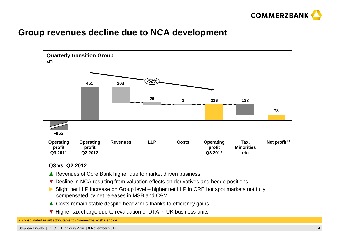

#### **Group revenues decline due to NCA development**



**Q3 vs. Q2 2012**

- ▲ Revenues of Core Bank higher due to market driven business<br>► Resling in NGA resulting from valuation offects on derivatives
- ▼ Decline in NCA resulting from valuation effects on derivatives and hedge positions
- ► Slight net LLP increase on Group level higher net LLP in CRE hot spot markets not fully compensated by net releases in MSB and C&M compensated by net releases in MSB and C&M
- ▲ Costs remain stable despite headwinds thanks to efficiency gains
- ▼ Higher tax charge due to revaluation of DTA in UK business units

1) consolidated result attributable to Commerzbank shareholder.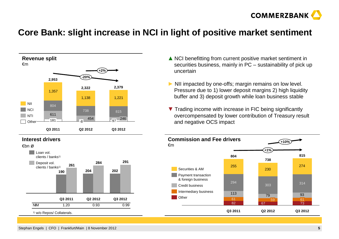

### **Core Bank: slight increase in NCI in light of positive market sentiment**







- **▲** NCI benefitting from current positive market sentiment in<br>**EXEC** securities business mainly in PC sustainability of pick u securities business, mainly in PC – sustainability of pick up uncertain
- ► NII impacted by one-offs; margin remains on low level.<br>Pressure due to 1) lower deposit margins 2) high liquidities Pressure due to 1) lower deposit margins 2) high liquidity buffer and 3) deposit growth while loan business stable
- ▼ Trading income with increase in FIC being significantly<br>
overcompensated by lower contribution of Treasury res overcompensated by lower contribution of Treasury result and negative OCS impact

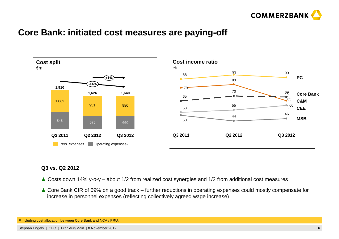

#### **Core Bank: initiated cost measures are paying-off**



#### **Q3 vs. Q2 2012**

- **▲** Costs down 14% y-o-y about 1/2 from realized cost synergies and 1/2 from additional cost measures
- ▲ Core Bank CIR of 69% on a good track further reductions in operating expenses could mostly compensate for increase in personnel expenses (reflecting collectively agreed wage increase) increase in personnel expenses (reflecting collectively agreed wage increase)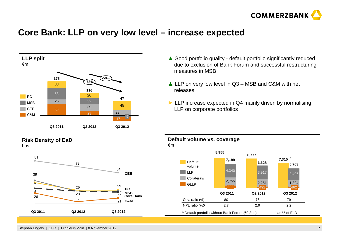

### **Core Bank: LLP on very low level – increase expected**



#### **Risk Density of EaD**bps



- ▲ Good portfolio quality default portfolio significantly reduced<br>due to exclusion of Bank Forum and successful restructuring due to exclusion of Bank Forum and successful restructuring measures in MSB
- **▲** LLP on very low level in Q3 MSB and C&M with net releases

**Default volume vs. coverage**

**►** LLP increase expected in Q4 mainly driven by normalising LLP on corporate portfolios

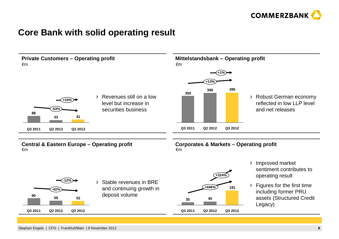

#### **Core Bank with solid operating result**

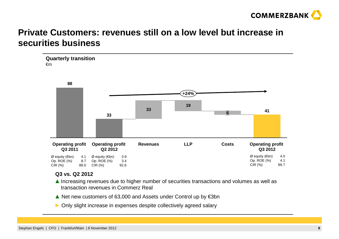

### **Private Customers: revenues still on a low level but increase insecurities business**



#### **Q3 vs. Q2 2012**

- ▲ Increasing revenues due to higher number of securities transactions and volumes as well as transaction revenues in Commerz Real transaction revenues in Commerz Real
- ▲ Net new customers of 63,000 and Assets under Control up by €3bn
- **►** Only slight increase in expenses despite collectively agreed salary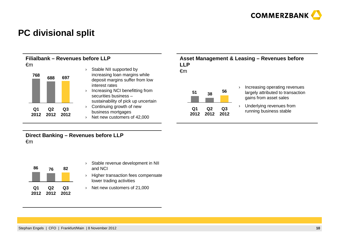

### **PC divisional split**

**Filialbank – Revenues before LLP**  €m



- › Stable NII supported by increasing loan margins while deposit margins suffer from low interest rates›
- Increasing NCI benefitting from securities business –
- sustainability of pick up uncertain
- quarant community spot the term of the community of the C<sub>1</sub> quarant Q<sub>1</sub> q<sub>2</sub> q<sub>3</sub> tunning business stable contract 2012 2012 2012 contract 2012 2012 contract contract 2012 2012 contract 2012 2012 contract contract 2012 c › Continuing growth of new business mortgages› Net new customers of 42,000

#### **Asset Management & Leasing – Revenues before LLP**

€m



- › Increasing operating revenues largely attributed to transaction gains from asset sales
- ›Underlying revenues from

**Direct Banking – Revenues before LLP**  €m



- › Stable revenue development in NII and NCI
- › Higher transaction fees compensate lower trading activities
- › Net new customers of 21,000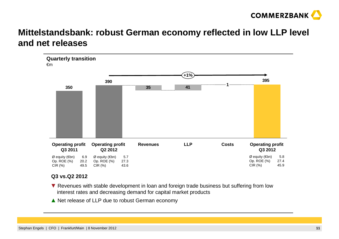

### **Mittelstandsbank: robust German economy reflected in low LLP level and net releases**



#### **Q3 vs.Q2 2012**

- ▼ Revenues with stable development in loan and foreign trade business but suffering from low<br>interest rates and decreasing demand for capital market products interest rates and decreasing demand for capital market products
- ▲ Net release of LLP due to robust German economy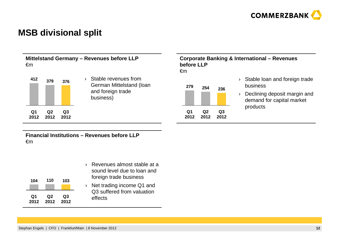

#### **MSB divisional split**

**Q3 2012**

**Q2 2012**

**Q1 2012**

**Mittelstand Germany – Revenues before LLP**  €m**before LLP** €m**379 <sup>412</sup> <sup>376</sup>254 <sup>279</sup> 236**› Stable revenues from German Mittelstand (loan and foreign trade

business)

# **Corporate Banking & International – Revenues**



- › Stable loan and foreign trade business
- › Declining deposit margin and demand for capital market products

**Financial Institutions – Revenues before LLP**  €m

| 104  | 110  | 103  |
|------|------|------|
| Q1   | Q2   | Q3   |
| 2012 | 2012 | 2012 |

- › Revenues almost stable at a sound level due to loan and foreign trade business
- › Net trading income Q1 and Q3 suffered from valuation effects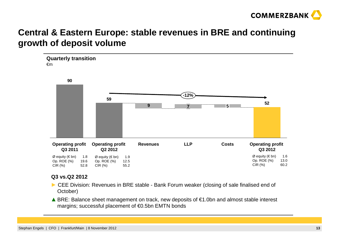

### **Central & Eastern Europe: stable revenues in BRE and continuing growth of deposit volume**



#### **Q3 vs.Q2 2012**

- ► CEE Division: Revenues in BRE stable Bank Forum weaker (closing of sale finalised end of October) October)
- A BRE: Balance sheet management on track, new deposits of  $\epsilon$ 1.0bn and almost stable interest margins: successful placement of  $\epsilon$ 0.5bn EMTN bonds margins; successful placement of €0.5bn EMTN bonds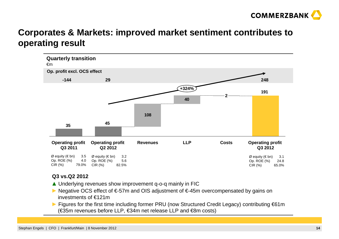

### **Corporates & Markets: improved market sentiment contributes to operating result**



#### **Q3 vs.Q2 2012**

- $\triangle$  Underlying revenues show improvement q-o-q mainly in FIC<br>  $\triangle$  Negative OCS offect of  $\epsilon$  57m and OIS adjustment of  $\epsilon$  45m
- ► Negative OCS effect of €-57m and OIS adjustment of €-45m overcompensated by gains on<br>investments of €121m investments of €121m
- ► Figures for the first time including former PRU (now Structured Credit Legacy) contributing €61m (€35m revenues before LLP, €34m net release LLP and €8m costs)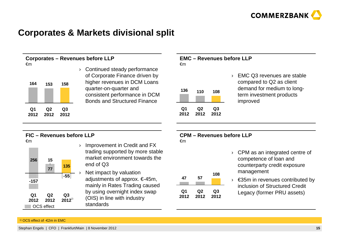

### **Corporates & Markets divisional split**



 Continued steady performance of Corporate Finance driven by higher revenues in DCM Loans quarter-on-quarter and consistent performance in DCM Bonds and Structured Finance

#### **EMC – Revenues before LLP**€m

| 136 | 110 | 108 |
|-----|-----|-----|
|     |     |     |
|     |     |     |

**Q2 2012**

**Q1 2012** › EMC Q3 revenues are stable compared to Q2 as client demand for medium to longterm investment products improved

#### **FIC – Revenues before LLP**



- Improvement in Credit and FX trading supported by more stable market environment towards the end of Q3
- Net impact by valuation adjustments of approx. €-45m, mainly in Rates Trading caused by using overnight index swap (OIS) in line with industry standards

#### **CPM – Revenues before LLP**€m

**Q3 2012**

| 47         | 57         | 108        |
|------------|------------|------------|
| Q1<br>2012 | Q2<br>2012 | Q3<br>2012 |

- › CPM as an integrated centre of competence of loan and counterparty credit exposure management
- › €35m in revenues contributed by inclusion of Structured Credit Legacy (former PRU assets)

#### 1) OCS effect of -€2m in EMC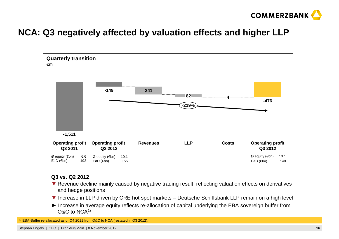

### **NCA: Q3 negatively affected by valuation effects and higher LLP**



#### **Q3 vs. Q2 2012**

- ▼ Revenue decline mainly caused by negative trading result, reflecting valuation effects on derivatives and hedge positions and hedge positions
- ▼ Increase in LLP driven by CRE hot spot markets Deutsche Schiffsbank LLP remain on a high level<br>► lastnose in average aguity reflects to allegation of senital underlying the FBA severains buffer from
- ► Increase in average equity reflects re-allocation of capital underlying the EBA sovereign buffer from <br>O&C to NCA<sup>1)</sup> O&C to NCA1)

1) EBA-Buffer re-allocated as of Q4 2011 from O&C to NCA (restated in Q3 2012).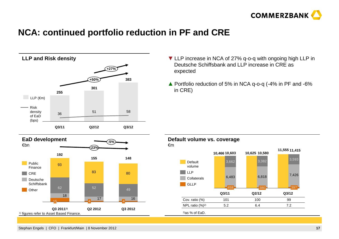

### **NCA: continued portfolio reduction in PF and CRE**



- ▼ LLP increase in NCA of 27% q-o-q with ongoing high LLP in Deutsche Schiffsbank and LLP increase in CRE as expected
- **▲** Portfolio reduction of 5% in NCA q-o-q (-4% in PF and -6% in CRE)

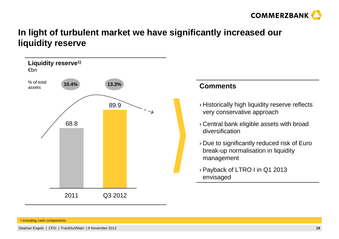

### **In light of turbulent market we have significantly increased ourliquidity reserve**





- › Historically high liquidity reserve reflects very conservative approach
- › Central bank eligible assets with broad diversification
- › Due to significantly reduced risk of Euro break-up normalisation in liquidity management
- › Payback of LTRO I in Q1 2013 envisaged

1) including cash components.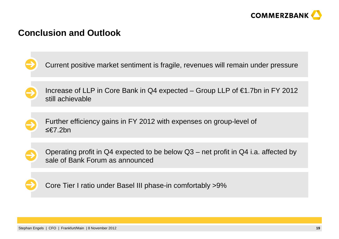

#### **Conclusion and Outlook**

Current positive market sentiment is fragile, revenues will remain under pressure





Further efficiency gains in FY 2012 with expenses on group-level of ≤€7.2bn



Operating profit in Q4 expected to be below Q3 – net profit in Q4 i.a. affected bysale of Bank Forum as announced



Core Tier I ratio under Basel III phase-in comfortably >9%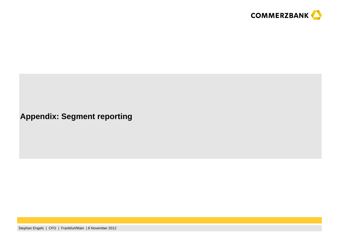

#### **Appendix: Segment reporting**

Stephan Engels | CFO | Frankfurt/Main | 8 November 2012**<sup>20</sup>**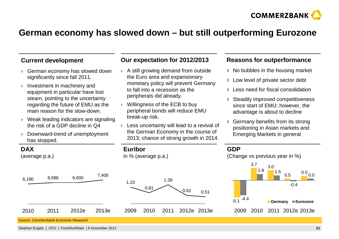

#### **German economy has slowed down – but still outperforming Eurozone**

#### **Current development**

- › German economy has slowed down significantly since fall 2011.
- › Investment in machinery and equipment in particular have lost steam, pointing to the uncertainty regarding the future of EMU as the main reason for the slow-down.
- › Weak leading indicators are signaling the risk of a GDP decline in Q4
- › Downward-trend of unemployment has stopped.

#### **DAX**

6,190

2010

(average p.a.)

#### **Our expectation for 2012/2013**

- › A still growing demand from outside the Euro area and expansionary monetary policy will prevent Germany to fall into a recession as the peripherals did already.
- › Willingness of the ECB to buy peripheral bonds will reduce EMU break-up risk.

**Euribor**

2009

1.23

in % (average p.a.)

2010

0.81

› Less uncertainty will lead to a revival of the German Economy in the course of 2013; chance of strong growth in 2014.

2011

1.39

#### **Reasons for outperformance**

- $\rightarrow$  No bubbles in the housing market
- > Low level of private sector debt
- Less need for fiscal consolidation
- Steadily improved competitiveness since start of EMU; however, the advantage is about to decline
- Germany benefits from its strong positioning in Asian markets and Emerging Markets in general

#### **GDP**

0.51

2012e 2013e

0.62

(Change vs previous year in %)



Source: Commerzbank Economic Research

2011

6,586

Stephan Engels | CFO | Frankfurt/Main | 8 November 2012

2012e

6,600

2013e

7,400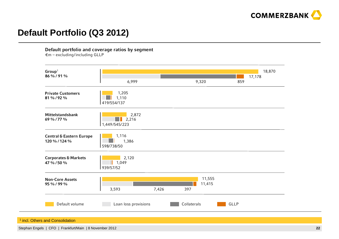

# **Default Portfolio (Q3 2012)**

Default portfolio and coverage ratios by segment

€m – excluding/including GLLP

| Group <sup>1</sup><br>86 % / 91 %                    |                                 |       |             |                  |      | 18,870 |
|------------------------------------------------------|---------------------------------|-------|-------------|------------------|------|--------|
|                                                      | 6,999                           |       | 9,320       |                  | 859  | 17,178 |
| <b>Private Customers</b><br>81 % / 92 %              | 1,205<br>1,110<br>419/554/137   |       |             |                  |      |        |
| Mittelstandsbank<br>69 % / 77 %                      | 2,872<br>2,216<br>1,449/545/223 |       |             |                  |      |        |
| <b>Central &amp; Eastern Europe</b><br>120 % / 124 % | 1,116<br>1,386<br>598/738/50    |       |             |                  |      |        |
| <b>Corporates &amp; Markets</b><br>47 % / 50 %       | 2,120<br>1,049<br>939/57/52     |       |             |                  |      |        |
| <b>Non-Core Assets</b><br>95 % / 99 %                | 3,593                           | 7,426 | 397         | 11,555<br>11,415 |      |        |
| Default volume                                       | Loan loss provisions            |       | Collaterals |                  | GLLP |        |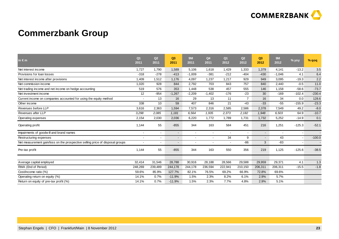

# **Commerzbank Group**

| $\mathsf{in} \in \mathsf{m}$                                                  | Q <sub>1</sub><br>2011 | Q2<br>2011               | Q3<br>2011               | <b>9M</b><br>2011        | Q <sub>4</sub><br>2011 | Q <sub>1</sub><br>2012 | Q2<br>2012     | Q3<br>2012               | 9M<br>2012               | % yoy          | % qoq    |
|-------------------------------------------------------------------------------|------------------------|--------------------------|--------------------------|--------------------------|------------------------|------------------------|----------------|--------------------------|--------------------------|----------------|----------|
| Net interest income                                                           | 1,727                  | 1,790                    | 1,589                    | 5,106                    | 1,618                  | 1,429                  | 1,333          | 1,379                    | 4,141                    | $-13.2$        | 3.5      |
| Provisions for loan losses                                                    | $-318$                 | $-278$                   | $-413$                   | $-1,009$                 | $-381$                 | $-212$                 | $-404$         | $-430$                   | $-1,046$                 | 4.1            | 6.4      |
| Net interest income after provisions                                          | 1,409                  | 1,512                    | 1,176                    | 4,097                    | 1,237                  | 1,217                  | 929            | 949                      | 3,095                    | $-19.3$        | 2.2      |
| Net commission income                                                         | 1,020                  | 928                      | 844                      | 2,792                    | 703                    | 843                    | 757            | 840                      | 2,440                    | $-0.5$         | 11.0     |
| Net trading income and net income on hedge accounting                         | 519                    | 576                      | 353                      | 1,448                    | 538                    | 457                    | 555            | 146                      | 1,158                    | $-58.6$        | $-73.7$  |
| Net investment income                                                         | 12                     | $-954$                   | $-1,267$                 | $-2,209$                 | $-1,402$               | $-176$                 | $-23$          | 30                       | $-169$                   | $-102.4$       | $-230.4$ |
| Current income on companies accounted for using the equity method             |                        | 13                       | 16                       | 29                       | 13                     | 11                     | $\overline{7}$ | 16                       | 34                       | 0.0            | 128.6    |
| Other income                                                                  | 338                    | 10                       | 59                       | 407                      | 846                    | 21                     | $-43$          | $-33$                    | $-55$                    | $-155.9$       | $-23.3$  |
| Revenues before LLP                                                           | 3,616                  | 2,363                    | 1,594                    | 7,573                    | 2,316                  | 2,585                  | 2,586          | 2,378                    | 7,549                    | 49.2           | $-8.0$   |
| Revenues after LLP                                                            | 3,298                  | 2,085                    | 1,181                    | 6,564                    | 1,935                  | 2,373                  | 2,182          | 1,948                    | 6,503                    | 64.9           | $-10.7$  |
| Operating expenses                                                            | 2,154                  | 2,030                    | 2,036                    | 6,220                    | 1,772                  | 1,789                  | 1,731          | 1,732                    | 5,252                    | $-14.9$        | 0.1      |
| Operating profit                                                              | 1,144                  | 55                       | $-855$                   | 344                      | 163                    | 584                    | 451            | 216                      | 1,251                    | $-125.3$       | $-52.1$  |
| Impairments of goodwill and brand names                                       | $\blacksquare$         | $\overline{\phantom{a}}$ | $\blacksquare$           | $\blacksquare$           |                        |                        |                | $\overline{\phantom{a}}$ | $\overline{\phantom{a}}$ |                |          |
| Restructuring expenses                                                        | $\blacksquare$         | $\overline{\phantom{a}}$ | $\overline{\phantom{a}}$ | $\overline{\phantom{a}}$ |                        | 34                     | 9              | $\overline{\phantom{0}}$ | 43                       | $\blacksquare$ | $-100.0$ |
| Net measurement gain/loss on the prospective selling price of disposal groups |                        | $\sim$                   | $\overline{\phantom{a}}$ | $\blacksquare$           |                        |                        | $-86$          | $\mathbf{3}$             | $-83$                    |                |          |
| Pre-tax profit                                                                | 1,144                  | 55                       | $-855$                   | 344                      | 163                    | 550                    | 356            | 219                      | 1,125                    | $-125.6$       | $-38.5$  |
|                                                                               |                        |                          |                          |                          |                        |                        |                |                          |                          |                |          |
| Average capital employed                                                      | 32,414                 | 31,546                   | 28,788                   | 30,916                   | 28,188                 | 28,566                 | 29,588         | 29,959                   | 29,371                   | 4.1            | 1.3      |
| RWA (End of Period)                                                           | 248,269                | 239,489                  | 244,178                  | 244,178                  | 236,594                | 222,941                | 210,150        | 206,311                  | 206,311                  | $-15.5$        | $-1.8$   |
| Cost/income ratio (%)                                                         | 59.6%                  | 85.9%                    | 127.7%                   | 82.1%                    | 76.5%                  | 69.2%                  | 66.9%          | 72.8%                    | 69.6%                    |                |          |
| Operating return on equity (%)                                                | 14.1%                  | 0.7%                     | $-11.9%$                 | 1.5%                     | 2.3%                   | 8.2%                   | 6.1%           | 2.9%                     | 5.7%                     |                |          |
| Return on equity of pre-tax profit (%)                                        | 14.1%                  | 0.7%                     | $-11.9%$                 | 1.5%                     | 2.3%                   | 7.7%                   | 4.8%           | 2.9%                     | 5.1%                     |                |          |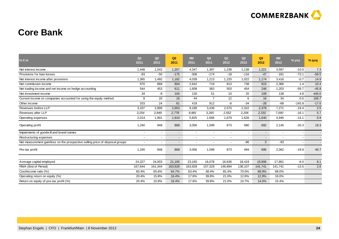

### **Core Bank**

| in $\epsilon$ m                                                               | Q <sub>1</sub><br>2011   | Q2<br>2011               | Q3<br>2011               | <b>9M</b><br>2011        | Q <sub>4</sub><br>2011 | Q <sub>1</sub><br>2012   | Q <sub>2</sub><br>2012 | Q3<br>2012               | <b>9M</b><br>2012        | % yoy    | $%$ qoq                  |
|-------------------------------------------------------------------------------|--------------------------|--------------------------|--------------------------|--------------------------|------------------------|--------------------------|------------------------|--------------------------|--------------------------|----------|--------------------------|
| Net interest income                                                           | 1,448                    | 1,542                    | 1,357                    | 4,347                    | 1,387                  | 1,238                    | 1,138                  | 1,221                    | 3,597                    | $-10.0$  | 7.3                      |
| Provisions for loan losses                                                    | $-83$                    | $-50$                    | $-175$                   | $-308$                   | $-174$                 | $-18$                    | $-116$                 | $-47$                    | $-181$                   | $-73.1$  | $-59.5$                  |
| Net interest income after provisions                                          | 1,365                    | 1,492                    | 1,182                    | 4,039                    | 1,213                  | 1,220                    | 1,022                  | 1,174                    | 3,416                    | $-0.7$   | 14.9                     |
| Net commission income                                                         | 970                      | 868                      | 804                      | 2,642                    | 719                    | 813                      | 738                    | 815                      | 2,366                    | 1.4      | 10.4                     |
| Net trading income and net income on hedge accounting                         | 544                      | 453                      | 611                      | 1,608                    | 363                    | 503                      | 454                    | 246                      | 1,203                    | $-59.7$  | $-45.8$                  |
| Net investment income                                                         | 34                       | -8                       | 104                      | 130                      | 51                     | 10                       | 20                     | 109                      | 139                      | 4.8      | 445.0                    |
| Current income on companies accounted for using the equity method             | 8                        | 20                       | 16                       | 44                       | $\overline{7}$         | 12                       | 6                      | 16                       | 34                       | 0.0      | 166.7                    |
| Other income                                                                  | 333                      | 24                       | 61                       | 418                      | 912                    | -6                       | $-34$                  | $-28$                    | $-68$                    | $-145.9$ | $-17.6$                  |
| Revenues before LLP                                                           | 3,337                    | 2,899                    | 2,953                    | 9,189                    | 3,439                  | 2,570                    | 2,322                  | 2,379                    | 7,271                    | $-19.4$  | 2.5                      |
| Revenues after LLP                                                            | 3,254                    | 2,849                    | 2,778                    | 8,881                    | 3,265                  | 2,552                    | 2,206                  | 2,332                    | 7,090                    | $-16.1$  | 5.7                      |
| Operating expenses                                                            | 2,014                    | 1,901                    | 1,910                    | 5,825                    | 1,666                  | 1,679                    | 1,626                  | 1,640                    | 4,945                    | $-14.1$  | 0.9                      |
| Operating profit                                                              | 1,240                    | 948                      | 868                      | 3,056                    | 1,599                  | 873                      | 580                    | 692                      | 2,145                    | $-20.3$  | 19.3                     |
| Impairments of goodwill and brand names                                       | $\overline{\phantom{a}}$ | $\overline{\phantom{a}}$ | $\overline{\phantom{a}}$ | $\overline{\phantom{a}}$ |                        | $\overline{\phantom{a}}$ |                        | $\overline{\phantom{0}}$ | $\overline{\phantom{a}}$ |          | $\sim$                   |
| Restructuring expenses                                                        | $\overline{\phantom{a}}$ | $\overline{\phantom{a}}$ | $\overline{\phantom{a}}$ |                          |                        |                          |                        | $\overline{\phantom{a}}$ | $\overline{\phantom{a}}$ |          | $\overline{\phantom{a}}$ |
| Net measurement gain/loss on the prospective selling price of disposal groups |                          | $\overline{\phantom{a}}$ | $\overline{\phantom{a}}$ |                          |                        |                          | $-86$                  | 3                        | $-83$                    |          |                          |
| Pre-tax profit                                                                | 1,240                    | 948                      | 868                      | 3,056                    | 1,599                  | 873                      | 494                    | 695                      | 2,062                    | $-19.9$  | 40.7                     |
| Average capital employed                                                      | 24,327                   | 24,003                   | 21,165                   | 23,165                   | 16,078                 | 16,636                   | 18,419                 | 19,906                   | 17,861                   | $-6.0$   | 8.1                      |
| RWA (End of Period)                                                           | 167,644                  | 161,344                  | 163,928                  | 163,928                  | 157,329                | 146,894                  | 138,107                | 141,741                  | 141.741                  | $-13.5$  | 2.6                      |
| Cost/income ratio (%)                                                         | 60.4%                    | 65.6%                    | 64.7%                    | 63.4%                    | 48.4%                  | 65.3%                    | 70.0%                  | 68.9%                    | 68.0%                    |          |                          |
| Operating return on equity (%)                                                | 20.4%                    | 15.8%                    | 16.4%                    | 17.6%                    | 39.8%                  | 21.0%                    | 12.6%                  | 12.9%                    | 16.0%                    |          |                          |
| Return on equity of pre-tax profit (%)                                        | 20.4%                    | 15.8%                    | 16.4%                    | 17.6%                    | 39.8%                  | 21.0%                    | 10.7%                  | 14.0%                    | 15.4%                    |          |                          |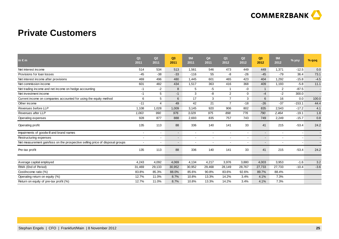

### **Private Customers**

| in $\epsilon$ m                                                               | Q <sub>1</sub><br>2011 | Q2<br>2011     | Q3<br>2011               | <b>9M</b><br>2011        | Q <sub>4</sub><br>2011   | Q <sub>1</sub><br>2012   | Q2<br>2012  | Q3<br>2012               | <b>9M</b><br>2012        | % yoy                    | % qoq                    |
|-------------------------------------------------------------------------------|------------------------|----------------|--------------------------|--------------------------|--------------------------|--------------------------|-------------|--------------------------|--------------------------|--------------------------|--------------------------|
| Net interest income                                                           | 514                    | 534            | 513                      | 1,561                    | 546                      | 473                      | 449         | 449                      | 1,371                    | $-12.5$                  | 0.0                      |
| Provisions for loan losses                                                    | $-45$                  | $-38$          | $-33$                    | $-116$                   | 55                       | -8                       | $-26$       | $-45$                    | $-79$                    | 36.4                     | 73.1                     |
| Net interest income after provisions                                          | 469                    | 496            | 480                      | 1,445                    | 601                      | 465                      | 423         | 404                      | 1,292                    | $-15.8$                  | $-4.5$                   |
| Net commission income                                                         | 601                    | 482            | 434                      | 1,517                    | 363                      | 416                      | 368         | 409                      | 1,193                    | $-5.8$                   | 11.1                     |
| Net trading income and net income on hedge accounting                         | $-1$                   | -2             | 8                        | 5                        | -5                       | 1                        | -0          | $\overline{1}$           | $\overline{2}$           | $-87.5$                  | $\overline{\phantom{a}}$ |
| Net investment income                                                         | $-1$                   | 5              | $-1$                     | 3                        | -8                       | $\overline{2}$           | $\mathbf 0$ | $-4$                     | $-2$                     | 300.0                    |                          |
| Current income on companies accounted for using the equity method             | 6                      | 5              | 6                        | 17                       | 3                        | $\overline{7}$           | 3           | 6                        | 16                       | 0.0                      | 100.0                    |
| Other income                                                                  | $-11$                  | $\overline{4}$ | 49                       | 42                       | 21                       | $\overline{7}$           | $-18$       | $-26$                    | $-37$                    | $-153.1$                 | 44.4                     |
| Revenues before LLP                                                           | 1,108                  | 1,028          | 1,009                    | 3,145                    | 920                      | 906                      | 802         | 835                      | 2,543                    | $-17.2$                  | 4.1                      |
| Revenues after LLP                                                            | 1,063                  | 990            | 976                      | 3,029                    | 975                      | 898                      | 776         | 790                      | 2,464                    | $-19.1$                  | 1.8                      |
| Operating expenses                                                            | 928                    | 877            | 888                      | 2,693                    | 835                      | 757                      | 743         | 749                      | 2,249                    | $-15.7$                  | 0.8                      |
| Operating profit                                                              | 135                    | 113            | 88                       | 336                      | 140                      | 141                      | 33          | 41                       | 215                      | $-53.4$                  | 24.2                     |
| Impairments of goodwill and brand names                                       | $\blacksquare$         | $\blacksquare$ | $\blacksquare$           | $\overline{\phantom{a}}$ | $\overline{\phantom{a}}$ | $\overline{\phantom{a}}$ |             | $\overline{\phantom{a}}$ | $\blacksquare$           | $\overline{\phantom{a}}$ |                          |
| Restructuring expenses                                                        | $\blacksquare$         | $\sim$         | $\overline{\phantom{a}}$ | $\overline{\phantom{a}}$ | $\overline{\phantom{0}}$ | $\sim$                   |             | $\sim$                   | $\overline{\phantom{a}}$ | $\overline{\phantom{a}}$ |                          |
| Net measurement gain/loss on the prospective selling price of disposal groups |                        | $\sim$         | $\overline{\phantom{a}}$ | $\blacksquare$           |                          |                          |             | $\overline{\phantom{0}}$ | $\blacksquare$           |                          |                          |
| Pre-tax profit                                                                | 135                    | 113            | 88                       | 336                      | 140                      | 141                      | 33          | 41                       | 215                      | $-53.4$                  | 24.2                     |
|                                                                               |                        |                |                          |                          |                          |                          |             |                          |                          |                          |                          |
| Average capital employed                                                      | 4,243                  | 4,092          | 4,069                    | 4,134                    | 4,217                    | 3,976                    | 3,880       | 4,003                    | 3,953                    | $-1.6$                   | 3.2                      |
| RWA (End of Period)                                                           | 31,469                 | 29,133         | 30,952                   | 30,952                   | 29,468                   | 28,149                   | 28,767      | 27,733                   | 27,733                   | $-10.4$                  | $-3.6$                   |
| Cost/income ratio (%)                                                         | 83.8%                  | 85.3%          | 88.0%                    | 85.6%                    | 90.8%                    | 83.6%                    | 92.6%       | 89.7%                    | 88.4%                    |                          |                          |
| Operating return on equity (%)                                                | 12.7%                  | 11.0%          | 8.7%                     | 10.8%                    | 13.3%                    | 14.2%                    | 3.4%        | 4.1%                     | 7.3%                     |                          |                          |
| Return on equity of pre-tax profit (%)                                        | 12.7%                  | 11.0%          | 8.7%                     | 10.8%                    | 13.3%                    | 14.2%                    | 3.4%        | 4.1%                     | 7.3%                     |                          |                          |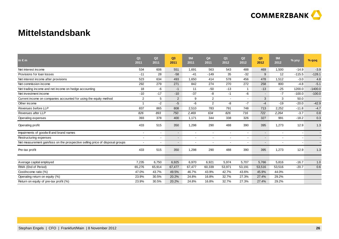

#### **Mittelstandsbank**

| $\mathsf{in} \in \mathsf{m}$                                                  | Q <sub>1</sub><br>2011 | Q2<br>2011               | Q3<br>2011               | <b>9M</b><br>2011        | Q <sub>4</sub><br>2011 | Q <sub>1</sub><br>2012   | Q2<br>2012   | Q3<br>2012               | <b>9M</b><br>2012 | % yoy    | % qoq     |
|-------------------------------------------------------------------------------|------------------------|--------------------------|--------------------------|--------------------------|------------------------|--------------------------|--------------|--------------------------|-------------------|----------|-----------|
| Net interest income                                                           | 534                    | 606                      | 551                      | 1,691                    | 563                    | 543                      | 488          | 469                      | 1,500             | $-14.9$  | $-3.9$    |
| Provisions for loan losses                                                    | $-11$                  | 28                       | $-58$                    | $-41$                    | $-149$                 | 35                       | $-32$        | 9                        | 12                | $-115.5$ | $-128.1$  |
| Net interest income after provisions                                          | 523                    | 634                      | 493                      | 1,650                    | 414                    | 578                      | 456          | 478                      | 1,512             | $-3.0$   | 4.8       |
| Net commission income                                                         | 292                    | 279                      | 271                      | 842                      | 274                    | 270                      | 272          | 258                      | 800               | $-4.8$   | $-5.1$    |
| Net trading income and net income on hedge accounting                         | 18                     | -6                       | $-1$                     | 11                       | $-50$                  | $-13$                    | $\mathbf{1}$ | $-13$                    | $-25$             | 1200.0   | $-1400.0$ |
| Net investment income                                                         | $-10$                  | $-17$                    | $-10$                    | $-37$                    | -8                     | $-1$                     | -6           | $\blacksquare$           | $-7$              | $-100.0$ | $-100.0$  |
| Current income on companies accounted for using the equity method             | 2                      | 5                        | 2                        | 9                        | $\overline{2}$         | $\sim$                   |              | 3                        | 3                 | 50.0     |           |
| Other income                                                                  | $\overline{ }$         | $-2$                     | -5                       | -6                       | $\overline{2}$         | -8                       | $-7$         | $-4$                     | $-19$             | $-20.0$  | $-42.9$   |
| Revenues before LLP                                                           | 837                    | 865                      | 808                      | 2,510                    | 783                    | 791                      | 748          | 713                      | 2,252             | $-11.8$  | $-4.7$    |
| Revenues after LLP                                                            | 826                    | 893                      | 750                      | 2,469                    | 634                    | 826                      | 716          | 722                      | 2,264             | $-3.7$   | 0.8       |
| Operating expenses                                                            | 393                    | 378                      | 400                      | 1,171                    | 344                    | 338                      | 326          | 327                      | 991               | $-18.2$  | 0.3       |
| Operating profit                                                              | 433                    | 515                      | 350                      | 1,298                    | 290                    | 488                      | 390          | 395                      | 1,273             | 12.9     | 1.3       |
| Impairments of goodwill and brand names                                       |                        | $\overline{\phantom{a}}$ | $\blacksquare$           | $\blacksquare$           |                        |                          |              | $\overline{\phantom{a}}$ | $\blacksquare$    |          |           |
| Restructuring expenses                                                        | $\blacksquare$         | $\overline{\phantom{a}}$ | $\overline{\phantom{a}}$ | $\overline{\phantom{a}}$ |                        | $\overline{\phantom{a}}$ |              | $\overline{\phantom{0}}$ | $\blacksquare$    |          |           |
| Net measurement gain/loss on the prospective selling price of disposal groups |                        |                          | $\overline{\phantom{a}}$ | $\blacksquare$           |                        |                          |              | $\overline{\phantom{a}}$ | $\blacksquare$    |          |           |
| Pre-tax profit                                                                | 433                    | 515                      | 350                      | 1,298                    | 290                    | 488                      | 390          | 395                      | 1,273             | 12.9     | 1.3       |
|                                                                               |                        |                          |                          |                          |                        |                          |              |                          |                   |          |           |
| Average capital employed                                                      | 7,235                  | 6,750                    | 6,925                    | 6,970                    | 6,921                  | 5,974                    | 5,707        | 5,766                    | 5,816             | $-16.7$  | 1.0       |
| RWA (End of Period)                                                           | 65,276                 | 65,914                   | 67,477                   | 67,477                   | 60,339                 | 53,971                   | 53,191       | 53,516                   | 53,516            | $-20.7$  | 0.6       |
| Cost/income ratio (%)                                                         | 47.0%                  | 43.7%                    | 49.5%                    | 46.7%                    | 43.9%                  | 42.7%                    | 43.6%        | 45.9%                    | 44.0%             |          |           |
| Operating return on equity (%)                                                | 23.9%                  | 30.5%                    | 20.2%                    | 24.8%                    | 16.8%                  | 32.7%                    | 27.3%        | 27.4%                    | 29.2%             |          |           |
| Return on equity of pre-tax profit (%)                                        | 23.9%                  | 30.5%                    | 20.2%                    | 24.8%                    | 16.8%                  | 32.7%                    | 27.3%        | 27.4%                    | 29.2%             |          |           |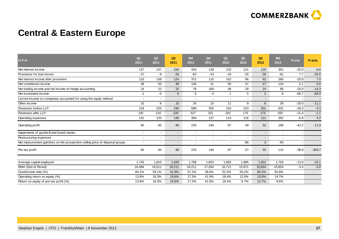

### **Central & Eastern Europe**

| in $\epsilon$ m                                                               | Q <sub>1</sub><br>2011   | Q <sub>2</sub><br>2011   | Q <sub>3</sub><br>2011   | <b>9M</b><br>2011 | Q4<br>2011 | Q <sub>1</sub><br>2012   | Q <sub>2</sub><br>2012 | Q3<br>2012               | 9M<br>2012               | % yoy   | $%$ qoq  |
|-------------------------------------------------------------------------------|--------------------------|--------------------------|--------------------------|-------------------|------------|--------------------------|------------------------|--------------------------|--------------------------|---------|----------|
| Net interest income                                                           | 137                      | 147                      | 150                      | 434               | 139        | 120                      | 121                    | 120                      | 361                      | $-20.0$ | $-0.8$   |
| Provisions for loan losses                                                    | $-27$                    | -9                       | $-26$                    | $-62$             | $-24$      | $-18$                    | $-35$                  | $-28$                    | $-81$                    | 7.7     | $-20.0$  |
| Net interest income after provisions                                          | 110                      | 138                      | 124                      | 372               | 115        | 102                      | 86                     | 92                       | 280                      | $-25.8$ | 7.0      |
| Net commission income                                                         | 48                       | 50                       | 48                       | 146               | 41         | 50                       | 47                     | 47                       | 144                      | $-2.1$  | 0.0      |
| Net trading income and net income on hedge accounting                         | 24                       | 22                       | 32                       | 78                | 169        | 38                       | 28                     | 24                       | 90                       | $-25.0$ | $-14.3$  |
| Net investment income                                                         | $-1$                     | -0                       | 6                        | 5                 | -4         | $\mathbf{1}$             | 5                      | $\overline{2}$           | 8                        | $-66.7$ | $-60.0$  |
| Current income on companies accounted for using the equity method             | $\overline{\phantom{a}}$ | $\overline{\phantom{a}}$ | $\overline{\phantom{a}}$ |                   |            |                          |                        | $\overline{\phantom{a}}$ | $\overline{\phantom{a}}$ |         |          |
| Other income                                                                  | 10 <sup>°</sup>          | 6                        | 10                       | 26                | 10         | 11                       | 9                      | 8                        | 28                       | $-20.0$ | $-11.1$  |
| Revenues before LLP                                                           | 218                      | 225                      | 246                      | 689               | 355        | 220                      | 210                    | 201                      | 631                      | $-18.3$ | $-4.3$   |
| Revenues after LLP                                                            | 191                      | 216                      | 220                      | 627               | 331        | 202                      | 175                    | 173                      | 550                      | $-21.4$ | $-1.1$   |
| Operating expenses                                                            | 131                      | 133                      | 130                      | 394               | 137        | 115                      | 116                    | 121                      | 352                      | $-6.9$  | 4.3      |
| Operating profit                                                              | 60                       | 83                       | 90                       | 233               | 194        | 87                       | 59                     | 52                       | 198                      | $-42.2$ | $-11.9$  |
| Impairments of goodwill and brand names                                       | $\overline{\phantom{a}}$ | $\blacksquare$           | $\overline{\phantom{a}}$ |                   |            | $\overline{\phantom{a}}$ |                        | $\overline{\phantom{a}}$ | $\overline{\phantom{a}}$ |         |          |
| Restructuring expenses                                                        | $\overline{\phantom{a}}$ | $\overline{\phantom{a}}$ |                          |                   |            |                          |                        | $\overline{\phantom{0}}$ | $\blacksquare$           |         |          |
| Net measurement gain/loss on the prospective selling price of disposal groups | $\blacksquare$           | $\overline{\phantom{a}}$ | $\overline{\phantom{a}}$ |                   |            | $\sim$                   | $-86$                  | 3                        | $-83$                    |         |          |
| Pre-tax profit                                                                | 60                       | 83                       | 90                       | 233               | 194        | 87                       | $-27$                  | 55                       | 115                      | $-38.9$ | $-303.7$ |
|                                                                               |                          |                          |                          |                   |            |                          |                        |                          |                          |         |          |
| Average capital employed                                                      | 1.745                    | 1,810                    | 1,839                    | 1,798             | 1,853      | 1,893                    | 1,885                  | 1,601                    | 1,793                    | $-13.0$ | $-15.1$  |
| RWA (End of Period)                                                           | 16,084                   | 16,511                   | 16,211                   | 16,211            | 17,004     | 16,711                   | 15,971                 | 15,654                   | 15,654                   | $-3.4$  | $-2.0$   |
| Cost/income ratio (%)                                                         | 60.1%                    | 59.1%                    | 52.8%                    | 57.2%             | 38.6%      | 52.3%                    | 55.2%                  | 60.2%                    | 55.8%                    |         |          |
| Operating return on equity (%)                                                | 13.8%                    | 18.3%                    | 19.6%                    | 17.3%             | 41.9%      | 18.4%                    | 12.5%                  | 13.0%                    | 14.7%                    |         |          |
| Return on equity of pre-tax profit (%)                                        | 13.8%                    | 18.3%                    | 19.6%                    | 17.3%             | 41.9%      | 18.4%                    | $-5.7%$                | 13.7%                    | 8.6%                     |         |          |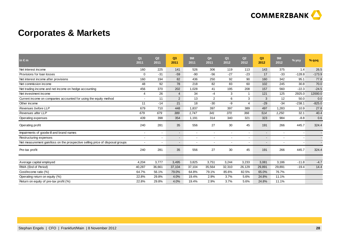

### **Corporates & Markets**

| in $\epsilon$ m                                                               | Q <sub>1</sub><br>2011   | Q2<br>2011               | Q <sub>3</sub><br>2011   | <b>9M</b><br>2011 | Q <sub>4</sub><br>2011 | Q <sub>1</sub><br>2012   | Q2<br>2012     | Q3<br>2012               | <b>9M</b><br>2012        | % yoy    | % qoq    |
|-------------------------------------------------------------------------------|--------------------------|--------------------------|--------------------------|-------------------|------------------------|--------------------------|----------------|--------------------------|--------------------------|----------|----------|
| Net interest income                                                           | 160                      | 225                      | 141                      | 526               | 306                    | 119                      | 113            | 143                      | 375                      | 1.4      | 26.5     |
| Provisions for loan losses                                                    | $\mathbf 0$              | $-31$                    | $-59$                    | $-90$             | $-56$                  | $-27$                    | $-23$          | 17                       | $-33$                    | $-128.8$ | $-173.9$ |
| Net interest income after provisions                                          | 160                      | 194                      | 82                       | 436               | 250                    | 92                       | 90             | 160                      | 342                      | 95.1     | 77.8     |
| Net commission income                                                         | 48                       | 92                       | 78                       | 218               | 82                     | 83                       | 60             | 102                      | 245                      | 30.8     | 70.0     |
| Net trading income and net income on hedge accounting                         | 456                      | 370                      | 202                      | 1,028             | 41                     | 195                      | 208            | 157                      | 560                      | $-22.3$  | $-24.5$  |
| Net investment income                                                         | 4                        | 26                       | $\overline{4}$           | 34                | -4                     | 3                        | 1              | 121                      | 125                      | 2925.0   | 12000.0  |
| Current income on companies accounted for using the equity method             |                          | 11                       | 2                        | 13                | 2                      | 6                        | 3              | 3                        | 12                       | 50.0     | 0.0      |
| Other income                                                                  | 11                       | $-14$                    | 21                       | 18                | $-30$                  | -9                       | $\overline{4}$ | $-29$                    | $-34$                    | $-238.1$ | $-825.0$ |
| Revenues before LLP                                                           | 679                      | 710                      | 448                      | 1,837             | 397                    | 397                      | 389            | 497                      | 1,283                    | 10.9     | 27.8     |
| Revenues after LLP                                                            | 679                      | 679                      | 389                      | 1.747             | 341                    | 370                      | 366            | 514                      | 1,250                    | 32.1     | 40.4     |
| Operating expenses                                                            | 439                      | 398                      | 354                      | 1,191             | 314                    | 340                      | 321            | 323                      | 984                      | $-8.8$   | 0.6      |
| Operating profit                                                              | 240                      | 281                      | 35                       | 556               | 27                     | 30                       | 45             | 191                      | 266                      | 445.7    | 324.4    |
| Impairments of goodwill and brand names                                       |                          | $\blacksquare$           | $\overline{\phantom{a}}$ |                   |                        | $\overline{\phantom{a}}$ |                | $\sim$                   | $\overline{\phantom{a}}$ |          |          |
| Restructuring expenses                                                        | $\overline{\phantom{a}}$ | $\blacksquare$           | $\overline{\phantom{a}}$ |                   |                        | $\overline{\phantom{a}}$ |                | $\sim$                   | $\blacksquare$           |          |          |
| Net measurement gain/loss on the prospective selling price of disposal groups |                          | $\overline{\phantom{a}}$ |                          |                   |                        |                          |                | $\overline{\phantom{0}}$ | $\overline{\phantom{a}}$ |          |          |
| Pre-tax profit                                                                | 240                      | 281                      | 35                       | 556               | 27                     | 30                       | 45             | 191                      | 266                      | 445.7    | 324.4    |
|                                                                               |                          |                          |                          |                   |                        |                          |                |                          |                          |          |          |
| Average capital employed                                                      | 4,204                    | 3,777                    | 3,495                    | 3,825             | 3,751                  | 3,244                    | 3,233          | 3,081                    | 3,186                    | $-11.8$  | $-4.7$   |
| RWA (End of Period)                                                           | 40,287                   | 36,661                   | 37,104                   | 37,104            | 35,564                 | 32,310                   | 26,129         | 29,891                   | 29,891                   | $-19.4$  | 14.4     |
| Cost/income ratio (%)                                                         | 64.7%                    | 56.1%                    | 79.0%                    | 64.8%             | 79.1%                  | 85.6%                    | 82.5%          | 65.0%                    | 76.7%                    |          |          |
| Operating return on equity (%)                                                | 22.8%                    | 29.8%                    | 4.0%                     | 19.4%             | 2.9%                   | 3.7%                     | 5.6%           | 24.8%                    | 11.1%                    |          |          |
| Return on equity of pre-tax profit (%)                                        | 22.8%                    | 29.8%                    | 4.0%                     | 19.4%             | 2.9%                   | 3.7%                     | 5.6%           | 24.8%                    | 11.1%                    |          |          |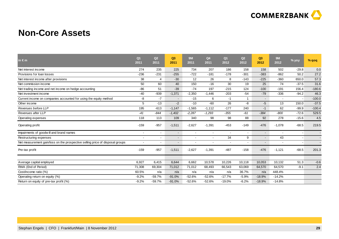

#### **Non-Core Assets**

| in $\epsilon$ m                                                               | Q <sub>1</sub><br>2011 | Q2<br>2011     | Q3<br>2011               | <b>9M</b><br>2011        | Q <sub>4</sub><br>2011   | Q <sub>1</sub><br>2012   | Q2<br>2012   | Q3<br>2012               | <b>9M</b><br>2012        | % yoy   | % $q$ oq |
|-------------------------------------------------------------------------------|------------------------|----------------|--------------------------|--------------------------|--------------------------|--------------------------|--------------|--------------------------|--------------------------|---------|----------|
| Net interest income                                                           | 274                    | 235            | 225                      | 734                      | 207                      | 186                      | 158          | 158                      | 502                      | $-29.8$ | 0.0      |
| Provisions for loan losses                                                    | $-236$                 | $-231$         | $-255$                   | $-722$                   | $-181$                   | $-178$                   | $-301$       | $-383$                   | $-862$                   | 50.2    | 27.2     |
| Net interest income after provisions                                          | 38                     | 4              | $-30$                    | 12                       | 26                       | 8                        | $-143$       | $-225$                   | $-360$                   | 650.0   | 57.3     |
| Net commission income                                                         | 50                     | 60             | 40                       | 150                      | $-16$                    | 30                       | 19           | 25                       | 74                       | $-37.5$ | 31.6     |
| Net trading income and net income on hedge accounting                         | $-86$                  | 51             | $-39$                    | $-74$                    | 197                      | $-215$                   | 124          | $-100$                   | $-191$                   | 156.4   | $-180.6$ |
| Net investment income                                                         | $-40$                  | $-939$         | $-1,371$                 | $-2,350$                 | $-1.446$                 | $-203$                   | $-54$        | $-79$                    | $-336$                   | $-94.2$ | 46.3     |
| Current income on companies accounted for using the equity method             | -8                     | $-7$           | $\blacksquare$           | $-15$                    | 6                        | $-1$                     | $\mathbf{1}$ | $\sim$                   | $\blacksquare$           |         | $-100.0$ |
| Other income                                                                  | 5                      | $-13$          | $-2$                     | $-10$                    | $-60$                    | 26                       | -8           | $-5$                     | 13                       | 150.0   | $-37.5$  |
| Revenues before LLP                                                           | 195                    | $-613$         | $-1,147$                 | $-1,565$                 | $-1,112$                 | $-177$                   | 240          | $-1$                     | 62                       | $-99.9$ | $-100.4$ |
| Revenues after LLP                                                            | $-41$                  | $-844$         | $-1,402$                 | $-2,287$                 | $-1,293$                 | $-355$                   | $-61$        | $-384$                   | $-800$                   | $-72.6$ | 529.5    |
| Operating expenses                                                            | 118                    | 113            | 109                      | 340                      | 98                       | 98                       | 88           | 92                       | 278                      | $-15.6$ | 4.5      |
| Operating profit                                                              | $-159$                 | $-957$         | $-1,511$                 | $-2,627$                 | $-1,391$                 | $-453$                   | $-149$       | $-476$                   | $-1,078$                 | $-68.5$ | 219.5    |
| Impairments of goodwill and brand names                                       | $\blacksquare$         | $\blacksquare$ | $\overline{\phantom{a}}$ | $\blacksquare$           | $\overline{\phantom{a}}$ | $\overline{\phantom{a}}$ |              | $\overline{\phantom{0}}$ | $\overline{\phantom{a}}$ |         |          |
| Restructuring expenses                                                        | $\blacksquare$         | $\sim$         | $\overline{\phantom{a}}$ | $\overline{\phantom{a}}$ | $\overline{\phantom{a}}$ | 34                       | 9            | $\overline{\phantom{a}}$ | 43                       |         |          |
| Net measurement gain/loss on the prospective selling price of disposal groups |                        |                | $\overline{\phantom{a}}$ | $\blacksquare$           |                          | $\overline{\phantom{a}}$ |              | $\overline{\phantom{0}}$ | $\blacksquare$           |         |          |
| Pre-tax profit                                                                | $-159$                 | $-957$         | $-1,511$                 | $-2,627$                 | $-1,391$                 | $-487$                   | $-158$       | $-476$                   | $-1,121$                 | $-68.5$ | 201.3    |
|                                                                               |                        |                |                          |                          |                          |                          |              |                          |                          |         |          |
| Average capital employed                                                      | 6,927                  | 6,415          | 6,644                    | 6,662                    | 10,578                   | 10,226                   | 10,118       | 10,053                   | 10,132                   | 51.3    | $-0.6$   |
| RWA (End of Period)                                                           | 71,308                 | 69,304         | 71,012                   | 71,012                   | 68,493                   | 66,543                   | 63,069       | 64,570                   | 64,570                   | $-9.1$  | 2.4      |
| Cost/income ratio (%)                                                         | 60.5%                  | n/a            | n/a                      | n/a                      | n/a                      | n/a                      | 36.7%        | n/a                      | 448.4%                   |         |          |
| Operating return on equity (%)                                                | $-9.2%$                | $-59.7%$       | $-91.0%$                 | $-52.6%$                 | $-52.6%$                 | $-17.7%$                 | $-5.9%$      | $-18.9%$                 | $-14.2%$                 |         |          |
| Return on equity of pre-tax profit (%)                                        | $-9.2%$                | $-59.7%$       | $-91.0%$                 | $-52.6%$                 | $-52.6%$                 | $-19.0%$                 | $-6.2%$      | $-18.9%$                 | $-14.8%$                 |         |          |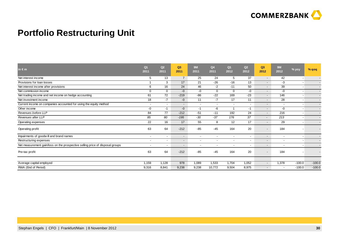

### **Portfolio Restructuring Unit**

| $\mathsf{in} \in \mathsf{m}$                                                  | Q <sub>1</sub><br>2011   | Q2<br>2011               | Q <sub>3</sub><br>2011   | 9M<br>2011               | Q4<br>2011               | Q <sub>1</sub><br>2012   | Q2<br>2012               | Q <sub>3</sub><br>2012   | 9M<br>2012               | $%$ yoy                  | $%$ qoq  |
|-------------------------------------------------------------------------------|--------------------------|--------------------------|--------------------------|--------------------------|--------------------------|--------------------------|--------------------------|--------------------------|--------------------------|--------------------------|----------|
| Net interest income                                                           | 5                        | 13                       | $\overline{7}$           | 25                       | 24                       | 5                        | 37                       | $\sim$                   | 42                       |                          |          |
| Provisions for loan losses                                                    |                          | 3                        | 17                       | 21                       | $-26$                    | $-16$                    | 13                       | $\overline{\phantom{a}}$ | -3                       |                          |          |
| Net interest income after provisions                                          | 6                        | 16                       | 24                       | 46                       | $-2$                     | $-11$                    | 50                       | $\overline{\phantom{a}}$ | 39                       |                          |          |
| Net commission income                                                         | $\mathbf 0$              | $\Omega$                 | $-0$                     | -0                       | $\Omega$                 | $\Omega$                 | -0                       | $\overline{\phantom{a}}$ | -0                       |                          |          |
| Net trading income and net income on hedge accounting                         | 61                       | 72                       | $-219$                   | $-86$                    | $-22$                    | 169                      | $-23$                    | $\overline{\phantom{a}}$ | 146                      | $\overline{\phantom{a}}$ |          |
| Net investment income                                                         | 18                       | $-7$                     | $-0$                     | 11                       | $-7$                     | 17                       | 11                       | $\overline{\phantom{a}}$ | 28                       |                          |          |
| Current income on companies accounted for using the equity method             | $\overline{\phantom{a}}$ |                          | $\overline{\phantom{0}}$ | $\overline{\phantom{a}}$ | $\overline{\phantom{a}}$ | $\overline{\phantom{a}}$ | $\overline{\phantom{a}}$ | $\overline{\phantom{a}}$ | $\overline{\phantom{a}}$ |                          |          |
| Other income                                                                  | -0                       | $-1$                     | $-0$                     | -1                       | -6                       |                          | -1                       | $\overline{\phantom{a}}$ | -0                       |                          |          |
| Revenues before LLP                                                           | 84                       | 77                       | $-212$                   | $-51$                    | $-11$                    | 192                      | 24                       | $\overline{\phantom{a}}$ | 216                      |                          |          |
| Revenues after LLP                                                            | 85                       | 80                       | $-195$                   | $-30$                    | $-37$                    | 176                      | 37                       | $\overline{a}$           | 213                      |                          |          |
| Operating expenses                                                            | 22                       | 16                       | 17                       | 55                       | 8                        | 12                       | 17                       | $\overline{\phantom{a}}$ | 29                       |                          |          |
| Operating profit                                                              | 63                       | 64                       | $-212$                   | $-85$                    | $-45$                    | 164                      | 20                       | $\overline{\phantom{a}}$ | 184                      |                          |          |
| Impairments of goodwill and brand names                                       |                          |                          | $\sim$                   | $\overline{\phantom{a}}$ | $\overline{\phantom{a}}$ | $\overline{\phantom{a}}$ | $\overline{\phantom{a}}$ | $\overline{\phantom{a}}$ | $\overline{\phantom{a}}$ |                          |          |
| Restructuring expenses                                                        | $\overline{\phantom{a}}$ |                          | $\overline{\phantom{a}}$ | $\overline{\phantom{a}}$ | $\overline{\phantom{a}}$ | $\overline{\phantom{a}}$ | $\overline{\phantom{a}}$ | $\overline{\phantom{a}}$ | $\overline{\phantom{a}}$ |                          |          |
| Net measurement gain/loss on the prospective selling price of disposal groups | $\overline{\phantom{a}}$ | $\overline{\phantom{a}}$ | $\sim$                   | $\overline{\phantom{a}}$ | $\overline{\phantom{a}}$ | $\overline{\phantom{a}}$ | $\overline{\phantom{a}}$ | $\overline{\phantom{a}}$ | $\overline{\phantom{a}}$ |                          |          |
| Pre-tax profit                                                                | 63                       | 64                       | $-212$                   | $-85$                    | $-45$                    | 164                      | 20                       | $\overline{\phantom{a}}$ | 184                      |                          |          |
| Average capital employed                                                      | 1,159                    | 1,128                    | 978                      | 1,089                    | 1,533                    | 1,704                    | 1,052                    | $\overline{\phantom{a}}$ | 1,378                    | $-100.0$                 | $-100.0$ |
| RWA (End of Period)                                                           | 9,316                    | 8,841                    | 9,238                    | 9,238                    | 10,772                   | 9,504                    | 8,975                    | $\overline{\phantom{a}}$ | $\overline{\phantom{a}}$ | $-100.0$                 | $-100.0$ |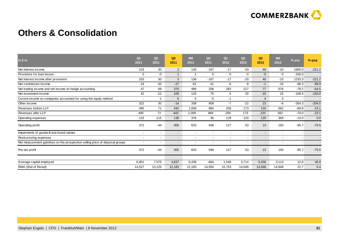

#### **Others & Consolidation**

| in $\epsilon$ m                                                               | Q <sub>1</sub><br>2011 | Q <sub>2</sub><br>2011   | Q <sub>3</sub><br>2011   | <b>9M</b><br>2011        | Q4<br>2011 | Q <sub>1</sub><br>2012 | Q <sub>2</sub><br>2012 | Q <sub>3</sub><br>2012   | <b>9M</b><br>2012 | $%$ yoy  | % qoq    |
|-------------------------------------------------------------------------------|------------------------|--------------------------|--------------------------|--------------------------|------------|------------------------|------------------------|--------------------------|-------------------|----------|----------|
| Net interest income                                                           | 103                    | 30                       | $\overline{2}$           | 135                      | $-167$     | $-17$                  | $-33$                  | 40                       | $-10$             | 1900.0   | $-221.2$ |
| Provisions for loan losses                                                    | $\Omega$               | -0                       | $\mathbf{1}$             | -1                       | 0          | $\mathbf 0$            | -0                     | $-0$                     | -0                | $-100.0$ |          |
| Net interest income after provisions                                          | 103                    | 30                       | 3                        | 136                      | $-167$     | $-17$                  | $-33$                  | 40                       | $-10$             | 1233.3   | $-221.2$ |
| Net commission income                                                         | $-19$                  | $-35$                    | $-27$                    | $-81$                    | $-41$      | -6                     | -9                     | $-1$                     | $-16$             | $-96.3$  | $-88.9$  |
| Net trading income and net income on hedge accounting                         | 47                     | 69                       | 370                      | 486                      | 208        | 282                    | 217                    | 77                       | 576               | $-79.2$  | $-64.5$  |
| Net investment income                                                         | 42                     | $-22$                    | 105                      | 125                      | 75         | 5                      | 20                     | $-10$                    | 15                | $-109.5$ | $-150.0$ |
| Current income on companies accounted for using the equity method             |                        | $-1$                     | 6                        | 5                        | -0         | $-1$                   |                        | 4                        | 3                 |          |          |
| Other income                                                                  | 322                    | 30                       | $-14$                    | 338                      | 909        | $-7$                   | $-22$                  | 23                       | $-6$              | $-264.3$ | $-204.5$ |
| Revenues before LLP                                                           | 495                    | 71                       | 442                      | 1,008                    | 984        | 256                    | 173                    | 133                      | 562               | $-69.9$  | $-23.1$  |
| Revenues after LLP                                                            | 495                    | 71                       | 443                      | 1,009                    | 984        | 256                    | 173                    | 133                      | 562               | $-70.0$  | $-23.1$  |
| Operating expenses                                                            | 123                    | 115                      | 138                      | 376                      | 36         | 129                    | 120                    | 120                      | 369               | $-13.0$  | 0.0      |
| Operating profit                                                              | 372                    | $-44$                    | 305                      | 633                      | 948        | 127                    | 53                     | 13                       | 193               | $-95.7$  | $-75.5$  |
| Impairments of goodwill and brand names                                       | $\overline{a}$         | $\sim$                   | $\overline{\phantom{a}}$ | $\overline{\phantom{a}}$ |            |                        |                        | $\overline{\phantom{0}}$ | $\overline{a}$    |          |          |
| Restructuring expenses                                                        |                        | $\overline{\phantom{a}}$ |                          |                          |            |                        |                        | $\overline{\phantom{0}}$ | $\blacksquare$    |          |          |
| Net measurement gain/loss on the prospective selling price of disposal groups |                        | $\overline{\phantom{a}}$ | $\overline{\phantom{a}}$ |                          |            |                        |                        | $\overline{\phantom{0}}$ | $\blacksquare$    |          |          |
| Pre-tax profit                                                                | 372                    | $-44$                    | 305                      | 633                      | 948        | 127                    | 53                     | 13                       | 193               | $-95.7$  | $-75.5$  |
|                                                                               |                        |                          |                          |                          |            |                        |                        |                          |                   |          |          |
| Average capital employed                                                      | 6,901                  | 7,575                    | 4,837                    | 6,438                    | $-664$     | 1,549                  | 3,714                  | 5,456                    | 3,113             | 12.8     | 46.9     |
| RWA (End of Period)                                                           | 14,527                 | 13,125                   | 12,183                   | 12,183                   | 14,954     | 15,753                 | 14,049                 | 14,948                   | 14,948            | 22.7     | 6.4      |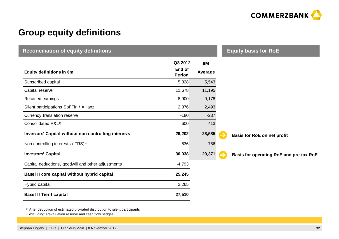

### **Group equity definitions**

| <b>Reconciliation of equity definitions</b>          |                                    |                      |  | <b>Equity basis for RoE</b>             |  |  |  |  |
|------------------------------------------------------|------------------------------------|----------------------|--|-----------------------------------------|--|--|--|--|
| Equity definitions in $\epsilon$ m                   | Q3 2012<br>End of<br><b>Period</b> | <b>9M</b><br>Average |  |                                         |  |  |  |  |
| Subscribed capital                                   | 5,828                              | 5,543                |  |                                         |  |  |  |  |
| Capital reserve                                      | 11,678                             | 11,195               |  |                                         |  |  |  |  |
| Retained earnings                                    | 8,900                              | 9,178                |  |                                         |  |  |  |  |
| Silent participations SoFFin / Allianz               | 2,376                              | 2,493                |  |                                         |  |  |  |  |
| Currency translation reserve                         | $-180$                             | $-237$               |  |                                         |  |  |  |  |
| Consolidated P&L <sup>1)</sup>                       | 600                                | 413                  |  |                                         |  |  |  |  |
| Investors' Capital without non-controlling interests | 29,202                             | 28,585               |  | Basis for RoE on net profit             |  |  |  |  |
| Non-controlling interests (IFRS) <sup>2)</sup>       | 836                                | 786                  |  |                                         |  |  |  |  |
| <b>Investors' Capital</b>                            | 30,038                             | 29,371               |  | Basis for operating RoE and pre-tax RoE |  |  |  |  |
| Capital deductions, goodwill and other adjustments   | $-4,793$                           |                      |  |                                         |  |  |  |  |
| Basel II core capital without hybrid capital         | 25,245                             |                      |  |                                         |  |  |  |  |
| Hybrid capital                                       | 2,265                              |                      |  |                                         |  |  |  |  |
| <b>Basel II Tier I capital</b>                       | 27,510                             |                      |  |                                         |  |  |  |  |

2) excluding: Revaluation reserve and cash flow hedges<sup>1)</sup> After deduction of estimated pro-rated distribution to silent participants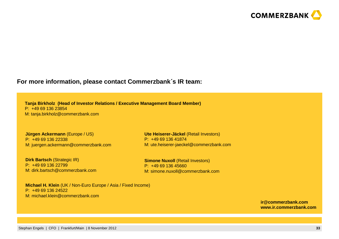

#### **For more information, please contact Commerzbank**´**<sup>s</sup> IR team:**

**Tanja Birkholz (Head of Investor Relations / Executive Management Board Member)**P: +49 69 136 23854M: tanja.birkholz@commerzbank.com

**Jürgen Ackermann** (Europe / US)P: +49 69 136 22338M: juergen.ackermann@commerzbank.com

**Dirk Bartsch (Strategic IR)** P: +49 69 136 22799 M: dirk.bartsch@commerzbank.com

**Ute Heiserer-Jäckel** (Retail Investors)P: +49 69 136 41874M: ute.heiserer-jaeckel@commerzbank.com

**Simone Nuxoll (Retail Investors)** P: +49 69 136 45660M: simone.nuxoll@commerzbank.com

**Michael H. Klein** (UK / Non-Euro Europe / Asia / Fixed Income)P: +49 69 136 24522M: michael.klein@commerzbank.com

> **ir@commerzbank.comwww.ir.commerzbank.com**